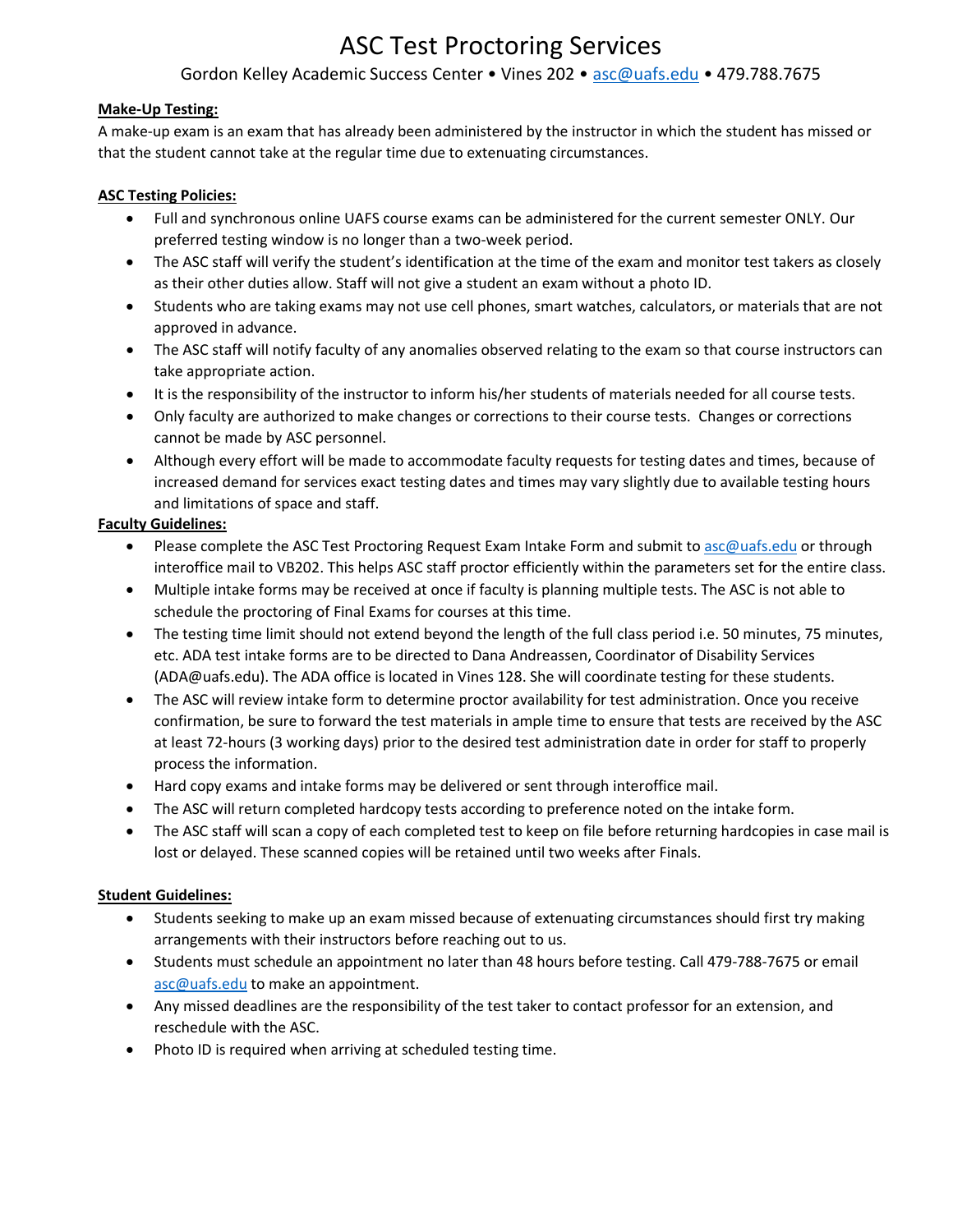# ASC Test Proctoring Services

# Gordon Kelley Academic Success Center • Vines 202 • [asc@uafs.edu](mailto:asc@uafs.edu) • 479.788.7675

## **Make-Up Testing:**

 that the student cannot take at the regular time due to extenuating circumstances. A make‐up exam is an exam that has already been administered by the instructor in which the student has missed or

### **ASC Testing Policies:**

- Full and synchronous online UAFS course exams can be administered for the current semester ONLY. Our preferred testing window is no longer than a two-week period.
- The ASC staff will verify the student's identification at the time of the exam and monitor test takers as closely as their other duties allow. Staff will not give a student an exam without a photo ID.
- Students who are taking exams may not use cell phones, smart watches, calculators, or materials that are not approved in advance.
- The ASC staff will notify faculty of any anomalies observed relating to the exam so that course instructors can take appropriate action.
- It is the responsibility of the instructor to inform his/her students of materials needed for all course tests.
- Only faculty are authorized to make changes or corrections to their course tests. Changes or corrections cannot be made by ASC personnel.
- Although every effort will be made to accommodate faculty requests for testing dates and times, because of increased demand for services exact testing dates and times may vary slightly due to available testing hours and limitations of space and staff.

#### **Faculty Guidelines:**

- Please complete the ASC Test Proctoring Request Exam Intake Form and submit t[o asc@uafs.edu](mailto:asc@uafs.edu) or through interoffice mail to VB202. This helps ASC staff proctor efficiently within the parameters set for the entire class.
- Multiple intake forms may be received at once if faculty is planning multiple tests. The ASC is not able to schedule the proctoring of Final Exams for courses at this time.
- The testing time limit should not extend beyond the length of the full class period i.e. 50 minutes, 75 minutes, etc. ADA test intake forms are to be directed to Dana Andreassen, Coordinator of Disability Services [\(ADA@uafs.edu](mailto:ADA@uafs.edu)). The ADA office is located in Vines 128. She will coordinate testing for these students.
- • The ASC will review intake form to determine proctor availability for test administration. Once you receive confirmation, be sure to forward the test materials in ample time to ensure that tests are received by the ASC at least 72-hours (3 working days) prior to the desired test administration date in order for staff to properly process the information.
- Hard copy exams and intake forms may be delivered or sent through interoffice mail.
- The ASC will return completed hardcopy tests according to preference noted on the intake form.
- • The ASC staff will scan a copy of each completed test to keep on file before returning hardcopies in case mail is lost or delayed. These scanned copies will be retained until two weeks after Finals.

## **Student Guidelines:**

- Students seeking to make up an exam missed because of extenuating circumstances should first try making arrangements with their instructors before reaching out to us.
- Students must schedule an appointment no later than 48 hours before testing. Call 479-788-7675 or email [asc@uafs.edu](mailto:asc@uafs.edu) to make an appointment.
- Any missed deadlines are the responsibility of the test taker to contact professor for an extension, and reschedule with the ASC.
- Photo ID is required when arriving at scheduled testing time.